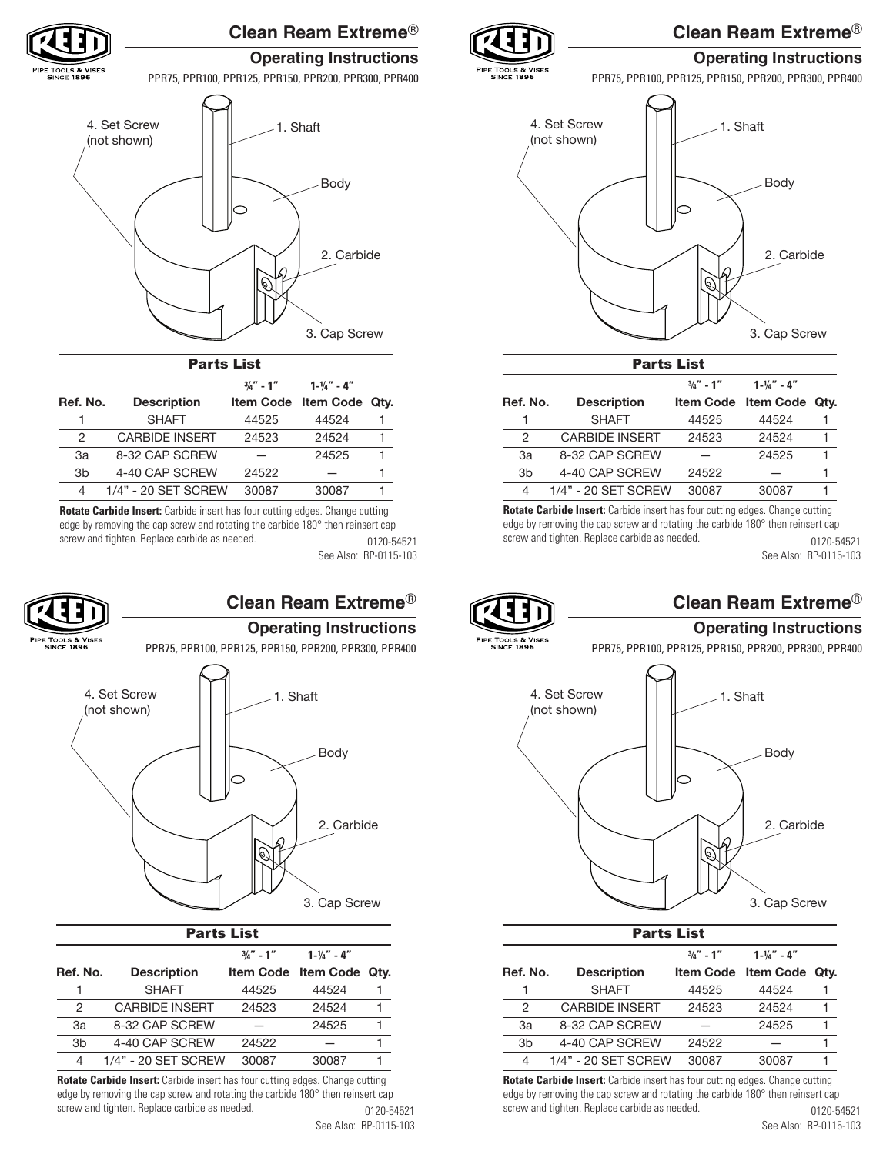

# **Clean Ream Extreme**®

# **Operating Instructions**

PPR75, PPR100, PPR125, PPR150, PPR200, PPR300, PPR400



| Farts List     |                       |             |                        |      |  |
|----------------|-----------------------|-------------|------------------------|------|--|
|                |                       | $3/4" - 1"$ | $1 - \frac{1}{4}$ – 4" |      |  |
| Ref. No.       | <b>Description</b>    |             | Item Code Item Code    | Qtv. |  |
|                | <b>SHAFT</b>          | 44525       | 44524                  |      |  |
| 2              | <b>CARBIDE INSERT</b> | 24523       | 24524                  |      |  |
| Зa             | 8-32 CAP SCREW        |             | 24525                  |      |  |
| 3 <sub>b</sub> | 4-40 CAP SCREW        | 24522       |                        |      |  |
| 4              | 1/4" - 20 SET SCREW   | 30087       | 30087                  |      |  |

**Rotate Carbide Insert:** Carbide insert has four cutting edges. Change cutting edge by removing the cap screw and rotating the carbide 180° then reinsert cap screw and tighten. Replace carbide as needed. 0120-54521 See Also: RP-0115-103



# **Clean Ream Extreme**®

# **Operating Instructions**

PPR75, PPR100, PPR125, PPR150, PPR200, PPR300, PPR400



| Farts List |                       |               |                        |      |  |
|------------|-----------------------|---------------|------------------------|------|--|
|            |                       | $3/a'' - 1''$ | $1 - \frac{1}{4}$ – 4" |      |  |
| Ref. No.   | <b>Description</b>    |               | Item Code Item Code    | Qtv. |  |
|            | <b>SHAFT</b>          | 44525         | 44524                  |      |  |
| 2          | <b>CARBIDE INSERT</b> | 24523         | 24524                  |      |  |
| 3a         | 8-32 CAP SCREW        |               | 24525                  |      |  |
| 3b         | 4-40 CAP SCREW        | 24522         |                        |      |  |
| 4          | 1/4" - 20 SET SCREW   | 30087         | 30087                  |      |  |

**Rotate Carbide Insert:** Carbide insert has four cutting edges. Change cutting edge by removing the cap screw and rotating the carbide 180° then reinsert cap screw and tighten. Replace carbide as needed. 0120-54521



# **Clean Ream Extreme**®

# **Operating Instructions**

PPR75, PPR100, PPR125, PPR150, PPR200, PPR300, PPR400



Parts List

| FAI LS LISL |                |                       |              |                        |      |
|-------------|----------------|-----------------------|--------------|------------------------|------|
|             |                |                       | $3/4$ " - 1" | $1 - \frac{1}{4}$ – 4" |      |
|             | Ref. No.       | <b>Description</b>    |              | Item Code Item Code    | Qtv. |
|             |                | <b>SHAFT</b>          | 44525        | 44524                  |      |
|             | 2              | <b>CARBIDE INSERT</b> | 24523        | 24524                  |      |
|             | Зa             | 8-32 CAP SCREW        |              | 24525                  |      |
|             | 3 <sub>b</sub> | 4-40 CAP SCREW        | 24522        |                        |      |
|             | 4              | 1/4" - 20 SET SCREW   | 30087        | 30087                  |      |

**Rotate Carbide Insert:** Carbide insert has four cutting edges. Change cutting edge by removing the cap screw and rotating the carbide 180° then reinsert cap screw and tighten. Replace carbide as needed. 0120-54521 See Also: RP-0115-103



: TOOLS & VISES<br>SINCE 1896

# **Clean Ream Extreme**®

## **Operating Instructions**

PPR75, PPR100, PPR125, PPR150, PPR200, PPR300, PPR400



| FAI LS LISL    |                       |              |                        |      |
|----------------|-----------------------|--------------|------------------------|------|
|                |                       | $3/4$ " - 1" | $1 - \frac{1}{4}$ – 4" |      |
| Ref. No.       | <b>Description</b>    |              | Item Code Item Code    | Qtv. |
|                | <b>SHAFT</b>          | 44525        | 44524                  |      |
| 2              | <b>CARBIDE INSERT</b> | 24523        | 24524                  |      |
| 3a             | 8-32 CAP SCREW        |              | 24525                  |      |
| 3 <sub>b</sub> | 4-40 CAP SCREW        | 24522        |                        |      |
| 4              | 1/4" - 20 SET SCREW   | 30087        | 30087                  |      |

**Rotate Carbide Insert:** Carbide insert has four cutting edges. Change cutting edge by removing the cap screw and rotating the carbide 180° then reinsert cap screw and tighten. Replace carbide as needed. 0120-54521